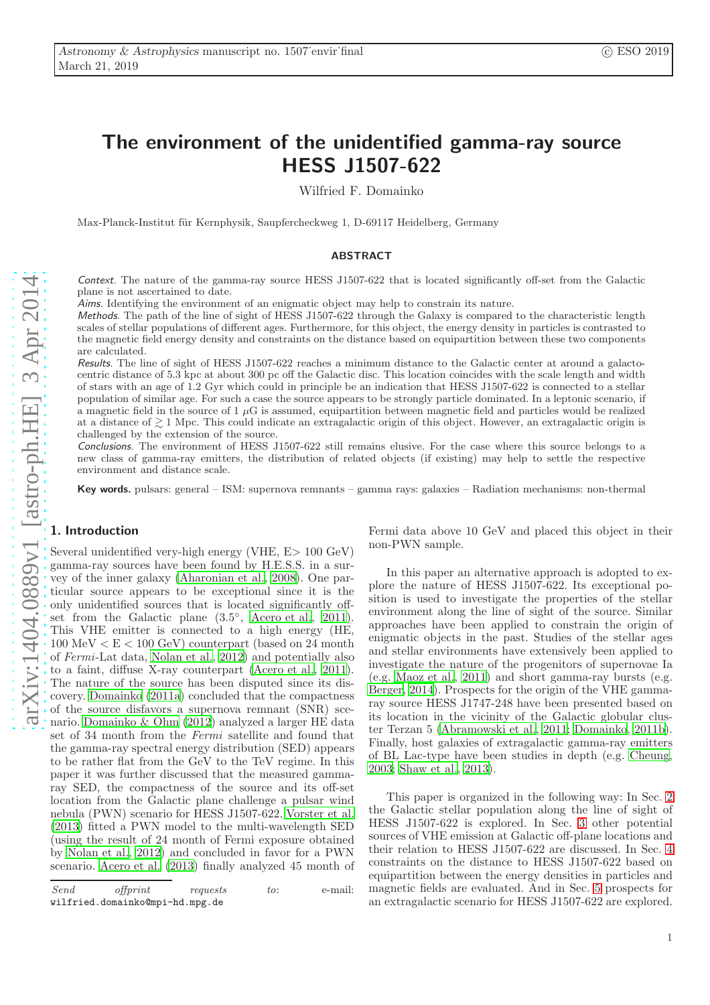# The environment of the unidentified gamma-ray source HESS J1507-622

Wilfried F. Domainko

Max-Planck-Institut für Kernphysik, Saupfercheckweg 1, D-69117 Heidelberg, Germany

## ABSTRACT

Context. The nature of the gamma-ray source HESS J1507-622 that is located significantly off-set from the Galactic plane is not ascertained to date.

Aims. Identifying the environment of an enigmatic object may help to constrain its nature.

Methods. The path of the line of sight of HESS J1507-622 through the Galaxy is compared to the characteristic length scales of stellar populations of different ages. Furthermore, for this object, the energy density in particles is contrasted to the magnetic field energy density and constraints on the distance based on equipartition between these two components are calculated.

Results. The line of sight of HESS J1507-622 reaches a minimum distance to the Galactic center at around a galactocentric distance of 5.3 kpc at about 300 pc off the Galactic disc. This location coincides with the scale length and width of stars with an age of 1.2 Gyr which could in principle be an indication that HESS J1507-622 is connected to a stellar population of similar age. For such a case the source appears to be strongly particle dominated. In a leptonic scenario, if a magnetic field in the source of  $1 \mu$ G is assumed, equipartition between magnetic field and particles would be realized at a distance of  $\gtrsim 1$  Mpc. This could indicate an extragalactic origin of this object. However, an extragalactic origin is challenged by the extension of the source.

Conclusions. The environment of HESS J1507-622 still remains elusive. For the case where this source belongs to a new class of gamma-ray emitters, the distribution of related objects (if existing) may help to settle the respective environment and distance scale.

Key words. pulsars: general – ISM: supernova remnants – gamma rays: galaxies – Radiation mechanisms: non-thermal

## 1. Introduction

Several unidentified very-high energy (VHE, E> 100 GeV) gamma-ray sources have been found by H.E.S.S. in a survey of the inner galaxy [\(Aharonian et al., 2008\)](#page-5-0). One particular source appears to be exceptional since it is the only unidentified sources that is located significantly offset from the Galactic plane  $(3.5^{\circ}, \text{Acero et al., } 2011).$  $(3.5^{\circ}, \text{Acero et al., } 2011).$  $(3.5^{\circ}, \text{Acero et al., } 2011).$  $(3.5^{\circ}, \text{Acero et al., } 2011).$  $(3.5^{\circ}, \text{Acero et al., } 2011).$ This VHE emitter is connected to a high energy (HE,  $100 \text{ MeV} < E < 100 \text{ GeV}$  counterpart (based on 24 month of Fermi-Lat data, [Nolan et al.](#page-5-2), [2012\)](#page-5-2) and potentially also to a faint, diffuse X-ray counterpart [\(Acero et al.](#page-5-1), [2011\)](#page-5-1). The nature of the source has been disputed since its discovery. [Domainko \(2011a\)](#page-5-3) concluded that the compactness of the source disfavors a supernova remnant (SNR) scenario. [Domainko & Ohm \(2012\)](#page-5-4) analyzed a larger HE data set of 34 month from the Fermi satellite and found that the gamma-ray spectral energy distribution (SED) appears to be rather flat from the GeV to the TeV regime. In this paper it was further discussed that the measured gammaray SED, the compactness of the source and its off-set location from the Galactic plane challenge a pulsar wind nebula (PWN) scenario for HESS J1507-622. [Vorster et al.](#page-5-5) [\(2013\)](#page-5-5) fitted a PWN model to the multi-wavelength SED (using the result of 24 month of Fermi exposure obtained by [Nolan et al., 2012\)](#page-5-2) and concluded in favor for a PWN scenario. [Acero et al. \(2013](#page-5-6)) finally analyzed 45 month of Fermi data above 10 GeV and placed this object in their non-PWN sample.

In this paper an alternative approach is adopted to explore the nature of HESS J1507-622. Its exceptional position is used to investigate the properties of the stellar environment along the line of sight of the source. Similar approaches have been applied to constrain the origin of enigmatic objects in the past. Studies of the stellar ages and stellar environments have extensively been applied to investigate the nature of the progenitors of supernovae Ia (e.g. [Maoz et al., 2011\)](#page-5-7) and short gamma-ray bursts (e.g. [Berger, 2014](#page-5-8)). Prospects for the origin of the VHE gammaray source HESS J1747-248 have been presented based on its location in the vicinity of the Galactic globular cluster Terzan 5 [\(Abramowski et al.](#page-5-9), [2011](#page-5-9); [Domainko, 2011b](#page-5-10)). Finally, host galaxies of extragalactic gamma-ray emitters of BL Lac-type have been studies in depth (e.g. [Cheung,](#page-5-11) [2003;](#page-5-11) [Shaw et al.](#page-5-12), [2013\)](#page-5-12).

This paper is organized in the following way: In Sec. [2](#page-1-0) the Galactic stellar population along the line of sight of HESS J1507-622 is explored. In Sec. [3](#page-1-1) other potential sources of VHE emission at Galactic off-plane locations and their relation to HESS J1507-622 are discussed. In Sec. [4](#page-2-0) constraints on the distance to HESS J1507-622 based on equipartition between the energy densities in particles and magnetic fields are evaluated. And in Sec. [5](#page-3-0) prospects for an extragalactic scenario for HESS J1507-622 are explored.

Send offprint requests to: e-mail: wilfried.domainko@mpi-hd.mpg.de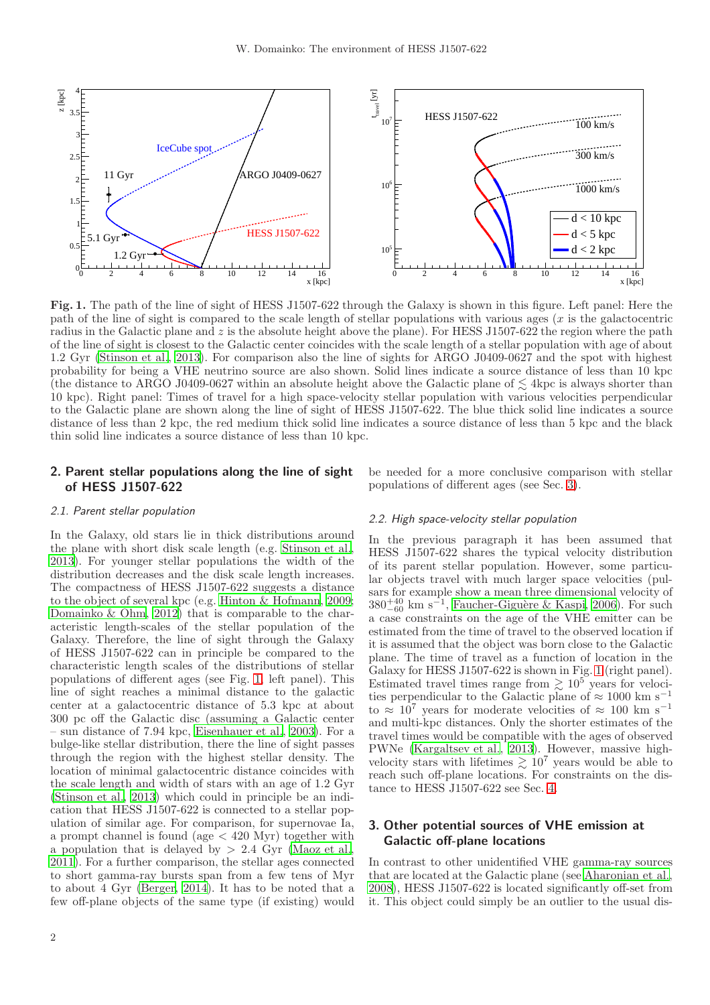

<span id="page-1-2"></span>Fig. 1. The path of the line of sight of HESS J1507-622 through the Galaxy is shown in this figure. Left panel: Here the path of the line of sight is compared to the scale length of stellar populations with various ages  $(x)$  is the galactocentric radius in the Galactic plane and z is the absolute height above the plane). For HESS J1507-622 the region where the path of the line of sight is closest to the Galactic center coincides with the scale length of a stellar population with age of about 1.2 Gyr [\(Stinson et al., 2013\)](#page-5-13). For comparison also the line of sights for ARGO J0409-0627 and the spot with highest probability for being a VHE neutrino source are also shown. Solid lines indicate a source distance of less than 10 kpc (the distance to ARGO J0409-0627 within an absolute height above the Galactic plane of  $\lesssim$  4kpc is always shorter than 10 kpc). Right panel: Times of travel for a high space-velocity stellar population with various velocities perpendicular to the Galactic plane are shown along the line of sight of HESS J1507-622. The blue thick solid line indicates a source distance of less than 2 kpc, the red medium thick solid line indicates a source distance of less than 5 kpc and the black thin solid line indicates a source distance of less than 10 kpc.

# <span id="page-1-0"></span>2. Parent stellar populations along the line of sight of HESS J1507-622

#### 2.1. Parent stellar population

In the Galaxy, old stars lie in thick distributions around the plane with short disk scale length (e.g. [Stinson et al.](#page-5-13), [2013](#page-5-13)). For younger stellar populations the width of the distribution decreases and the disk scale length increases. The compactness of HESS J1507-622 suggests a distance to the object of several kpc (e.g. [Hinton & Hofmann](#page-5-14), [2009](#page-5-14); [Domainko & Ohm](#page-5-4), [2012](#page-5-4)) that is comparable to the characteristic length-scales of the stellar population of the Galaxy. Therefore, the line of sight through the Galaxy of HESS J1507-622 can in principle be compared to the characteristic length scales of the distributions of stellar populations of different ages (see Fig. [1,](#page-1-2) left panel). This line of sight reaches a minimal distance to the galactic center at a galactocentric distance of 5.3 kpc at about 300 pc off the Galactic disc (assuming a Galactic center – sun distance of 7.94 kpc, [Eisenhauer et al., 2003\)](#page-5-15). For a bulge-like stellar distribution, there the line of sight passes through the region with the highest stellar density. The location of minimal galactocentric distance coincides with the scale length and width of stars with an age of 1.2 Gyr [\(Stinson et al., 2013](#page-5-13)) which could in principle be an indication that HESS J1507-622 is connected to a stellar population of similar age. For comparison, for supernovae Ia, a prompt channel is found (age < 420 Myr) together with a population that is delayed by  $> 2.4$  Gyr [\(Maoz et al.](#page-5-7), [2011](#page-5-7)). For a further comparison, the stellar ages connected to short gamma-ray bursts span from a few tens of Myr to about 4 Gyr [\(Berger, 2014\)](#page-5-8). It has to be noted that a few off-plane objects of the same type (if existing) would be needed for a more conclusive comparison with stellar populations of different ages (see Sec. [3\)](#page-1-1).

## 2.2. High space-velocity stellar population

In the previous paragraph it has been assumed that HESS J1507-622 shares the typical velocity distribution of its parent stellar population. However, some particular objects travel with much larger space velocities (pulsars for example show a mean three dimensional velocity of  $380^{+40}_{-60}$  km s<sup>-1</sup>, Faucher-Giguère & Kaspi, 2006). For such a case constraints on the age of the VHE emitter can be estimated from the time of travel to the observed location if it is assumed that the object was born close to the Galactic plane. The time of travel as a function of location in the Galaxy for HESS J1507-622 is shown in Fig. [1](#page-1-2) (right panel). Estimated travel times range from  $\gtrsim 10^5$  years for velocities perpendicular to the Galactic plane of  $\approx 1000$  km s<sup>-1</sup> to  $\approx 10^7$  years for moderate velocities of  $\approx 100$  km s<sup>-1</sup> and multi-kpc distances. Only the shorter estimates of the travel times would be compatible with the ages of observed PWNe [\(Kargaltsev et al.](#page-5-17), [2013\)](#page-5-17). However, massive highvelocity stars with lifetimes  $\gtrsim 10^7$  years would be able to reach such off-plane locations. For constraints on the distance to HESS J1507-622 see Sec. [4.](#page-2-0)

# <span id="page-1-1"></span>3. Other potential sources of VHE emission at Galactic off-plane locations

In contrast to other unidentified VHE gamma-ray sources that are located at the Galactic plane (see [Aharonian et al.,](#page-5-0) [2008\)](#page-5-0), HESS J1507-622 is located significantly off-set from it. This object could simply be an outlier to the usual dis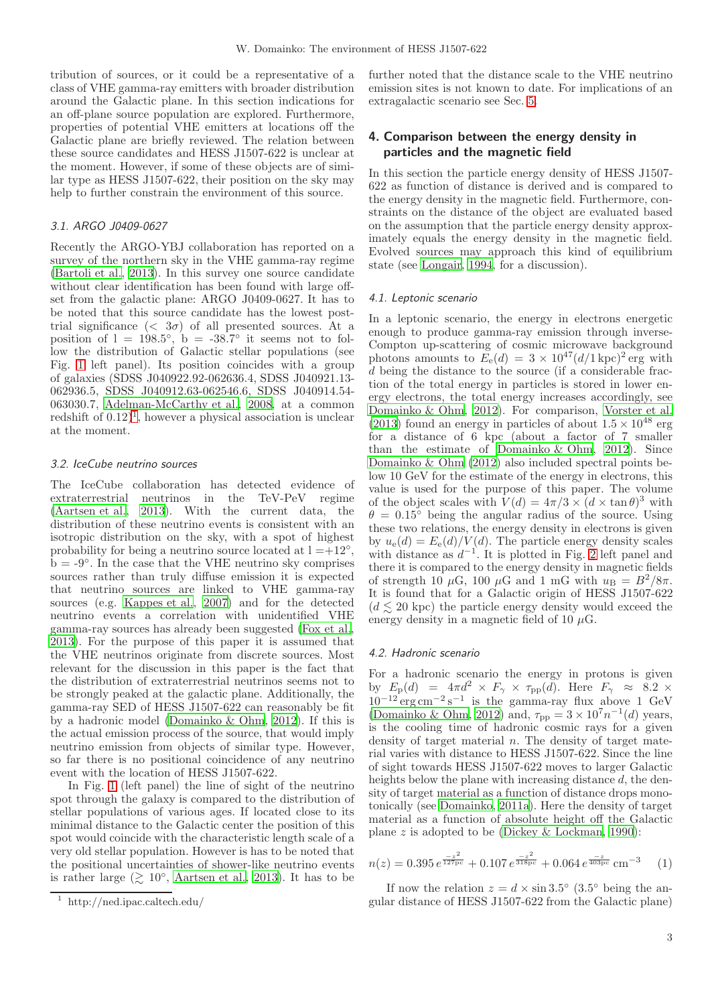tribution of sources, or it could be a representative of a class of VHE gamma-ray emitters with broader distribution around the Galactic plane. In this section indications for an off-plane source population are explored. Furthermore, properties of potential VHE emitters at locations off the Galactic plane are briefly reviewed. The relation between these source candidates and HESS J1507-622 is unclear at the moment. However, if some of these objects are of similar type as HESS J1507-622, their position on the sky may help to further constrain the environment of this source.

## 3.1. ARGO J0409-0627

Recently the ARGO-YBJ collaboration has reported on a survey of the northern sky in the VHE gamma-ray regime [\(Bartoli et al., 2013\)](#page-5-18). In this survey one source candidate without clear identification has been found with large offset from the galactic plane: ARGO J0409-0627. It has to be noted that this source candidate has the lowest posttrial significance  $( $3\sigma$ ) of all presented sources. At a$ position of  $1 = 198.5^\circ$ ,  $b = -38.7^\circ$  it seems not to follow the distribution of Galactic stellar populations (see Fig. [1](#page-1-2) left panel). Its position coincides with a group of galaxies (SDSS J040922.92-062636.4, SDSS J040921.13- 062936.5, SDSS J040912.63-062546.6, SDSS J040914.54- 063030.7, [Adelman-McCarthy et al., 2008,](#page-5-19) at a common redshift of  $(0.12)^1$  $(0.12)^1$  $(0.12)^1$ , however a physical association is unclear at the moment.

## 3.2. IceCube neutrino sources

The IceCube collaboration has detected evidence of extraterrestrial neutrinos in the TeV-PeV regime [\(Aartsen et al., 2013\)](#page-5-20). With the current data, the distribution of these neutrino events is consistent with an isotropic distribution on the sky, with a spot of highest probability for being a neutrino source located at  $l = +12°$ ,  $\mathbf{b} = -9^\circ$ . In the case that the VHE neutrino sky comprises sources rather than truly diffuse emission it is expected that neutrino sources are linked to VHE gamma-ray sources (e.g. [Kappes et al., 2007\)](#page-5-21) and for the detected neutrino events a correlation with unidentified VHE gamma-ray sources has already been suggested [\(Fox et al.](#page-5-22), [2013](#page-5-22)). For the purpose of this paper it is assumed that the VHE neutrinos originate from discrete sources. Most relevant for the discussion in this paper is the fact that the distribution of extraterrestrial neutrinos seems not to be strongly peaked at the galactic plane. Additionally, the gamma-ray SED of HESS J1507-622 can reasonably be fit by a hadronic model [\(Domainko & Ohm, 2012\)](#page-5-4). If this is the actual emission process of the source, that would imply neutrino emission from objects of similar type. However, so far there is no positional coincidence of any neutrino event with the location of HESS J1507-622.

In Fig. [1](#page-1-2) (left panel) the line of sight of the neutrino spot through the galaxy is compared to the distribution of stellar populations of various ages. If located close to its minimal distance to the Galactic center the position of this spot would coincide with the characteristic length scale of a very old stellar population. However is has to be noted that the positional uncertainties of shower-like neutrino events is rather large  $(\gtrsim 10^{\circ}, \text{ Aartsen et al., 2013}).$  It has to be

further noted that the distance scale to the VHE neutrino emission sites is not known to date. For implications of an extragalactic scenario see Sec. [5.](#page-3-0)

# <span id="page-2-0"></span>4. Comparison between the energy density in particles and the magnetic field

In this section the particle energy density of HESS J1507- 622 as function of distance is derived and is compared to the energy density in the magnetic field. Furthermore, constraints on the distance of the object are evaluated based on the assumption that the particle energy density approximately equals the energy density in the magnetic field. Evolved sources may approach this kind of equilibrium state (see [Longair, 1994,](#page-5-23) for a discussion).

## 4.1. Leptonic scenario

In a leptonic scenario, the energy in electrons energetic enough to produce gamma-ray emission through inverse-Compton up-scattering of cosmic microwave background photons amounts to  $E_e(d) = 3 \times 10^{47} (d/1 \,\text{kpc})^2 \,\text{erg}$  with d being the distance to the source (if a considerable fraction of the total energy in particles is stored in lower energy electrons, the total energy increases accordingly, see [Domainko & Ohm](#page-5-4), [2012](#page-5-4)). For comparison, [Vorster et al.](#page-5-5) [\(2013\)](#page-5-5) found an energy in particles of about  $1.5 \times 10^{48}$  erg for a distance of 6 kpc (about a factor of 7 smaller than the estimate of [Domainko & Ohm, 2012\)](#page-5-4). Since [Domainko & Ohm \(2012](#page-5-4)) also included spectral points below 10 GeV for the estimate of the energy in electrons, this value is used for the purpose of this paper. The volume of the object scales with  $V(d) = 4\pi/3 \times (d \times \tan \theta)^3$  with  $\theta = 0.15^{\circ}$  being the angular radius of the source. Using these two relations, the energy density in electrons is given by  $u_{e}(d) = E_{e}(d)/V(d)$ . The particle energy density scales with distance as  $d^{-1}$ . It is plotted in Fig. [2](#page-3-1) left panel and there it is compared to the energy density in magnetic fields of strength 10  $\mu$ G, 100  $\mu$ G and 1 mG with  $u_{\rm B} = B^2/8\pi$ . It is found that for a Galactic origin of HESS J1507-622  $(d \leq 20 \text{ kpc})$  the particle energy density would exceed the energy density in a magnetic field of 10  $\mu$ G.

## 4.2. Hadronic scenario

For a hadronic scenario the energy in protons is given by  $E_p(d) = 4\pi d^2 \times F_\gamma \times \tau_{pp}(d)$ . Here  $F_\gamma \approx 8.2 \times$  $10^{-12}$  erg cm<sup>-2</sup> s<sup>-1</sup> is the gamma-ray flux above 1 GeV [\(Domainko & Ohm, 2012\)](#page-5-4) and,  $\tau_{\text{pp}} = 3 \times 10^7 n^{-1}(d)$  years, is the cooling time of hadronic cosmic rays for a given density of target material  $n$ . The density of target material varies with distance to HESS J1507-622. Since the line of sight towards HESS J1507-622 moves to larger Galactic heights below the plane with increasing distance d, the density of target material as a function of distance drops monotonically (see [Domainko, 2011a\)](#page-5-3). Here the density of target material as a function of absolute height off the Galactic plane  $z$  is adopted to be (Dickey  $\&$  Lockman, 1990):

$$
n(z) = 0.395 e^{\frac{-z^2}{127 \text{pc}}} + 0.107 e^{\frac{-z^2}{318 \text{pc}}} + 0.064 e^{\frac{-z}{403 \text{pc}}} \text{ cm}^{-3}
$$
 (1)

If now the relation  $z = d \times \sin 3.5^{\circ}$  (3.5° being the angular distance of HESS J1507-622 from the Galactic plane)

<span id="page-2-1"></span><sup>1</sup> http://ned.ipac.caltech.edu/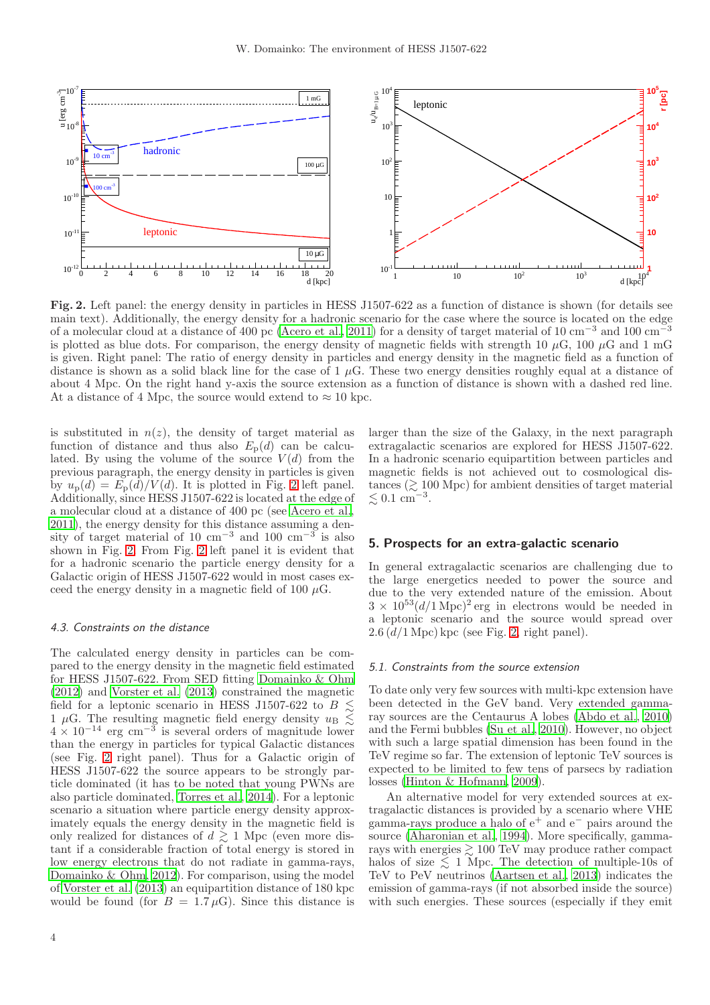

<span id="page-3-1"></span>Fig. 2. Left panel: the energy density in particles in HESS J1507-622 as a function of distance is shown (for details see main text). Additionally, the energy density for a hadronic scenario for the case where the source is located on the edge of a molecular cloud at a distance of 400 pc [\(Acero et al.](#page-5-1), [2011\)](#page-5-1) for a density of target material of 10 cm<sup>-3</sup> and 100 cm<sup>-3</sup> is plotted as blue dots. For comparison, the energy density of magnetic fields with strength 10  $\mu$ G, 100  $\mu$ G and 1 mG is given. Right panel: The ratio of energy density in particles and energy density in the magnetic field as a function of distance is shown as a solid black line for the case of  $1 \mu$ G. These two energy densities roughly equal at a distance of about 4 Mpc. On the right hand y-axis the source extension as a function of distance is shown with a dashed red line. At a distance of 4 Mpc, the source would extend to  $\approx 10$  kpc.

is substituted in  $n(z)$ , the density of target material as function of distance and thus also  $E_p(d)$  can be calculated. By using the volume of the source  $V(d)$  from the previous paragraph, the energy density in particles is given by  $u_p(d) = E_p(d)/V(d)$ . It is plotted in Fig. [2](#page-3-1) left panel. Additionally, since HESS J1507-622 is located at the edge of a molecular cloud at a distance of 400 pc (see [Acero et al.](#page-5-1), [2011](#page-5-1)), the energy density for this distance assuming a density of target material of 10 cm<sup>-3</sup> and 100 cm<sup>-3</sup> is also shown in Fig. [2.](#page-3-1) From Fig. [2](#page-3-1) left panel it is evident that for a hadronic scenario the particle energy density for a Galactic origin of HESS J1507-622 would in most cases exceed the energy density in a magnetic field of 100  $\mu$ G.

#### 4.3. Constraints on the distance

The calculated energy density in particles can be compared to the energy density in the magnetic field estimated for HESS J1507-622. From SED fitting [Domainko & Ohm](#page-5-4) [\(2012\)](#page-5-4) and [Vorster et al. \(2013\)](#page-5-5) constrained the magnetic field for a leptonic scenario in HESS J1507-622 to  $B \lesssim$ 1  $\mu$ G. The resulting magnetic field energy density  $u_{\text{B}} \lesssim$  $4 \times 10^{-14}$  erg cm<sup>-3</sup> is several orders of magnitude lower than the energy in particles for typical Galactic distances (see Fig. [2](#page-3-1) right panel). Thus for a Galactic origin of HESS J1507-622 the source appears to be strongly particle dominated (it has to be noted that young PWNs are also particle dominated, [Torres et al., 2014\)](#page-5-25). For a leptonic scenario a situation where particle energy density approximately equals the energy density in the magnetic field is only realized for distances of  $d \geq 1$  Mpc (even more distant if a considerable fraction of total energy is stored in low energy electrons that do not radiate in gamma-rays, [Domainko & Ohm](#page-5-4), [2012\)](#page-5-4). For comparison, using the model of [Vorster et al. \(2013\)](#page-5-5) an equipartition distance of 180 kpc would be found (for  $B = 1.7 \mu$ G). Since this distance is

larger than the size of the Galaxy, in the next paragraph extragalactic scenarios are explored for HESS J1507-622. In a hadronic scenario equipartition between particles and magnetic fields is not achieved out to cosmological distances  $($   $\geq 100$  Mpc) for ambient densities of target material  $\lesssim$  0.1 cm<sup>-3</sup>.

## <span id="page-3-0"></span>5. Prospects for an extra-galactic scenario

In general extragalactic scenarios are challenging due to the large energetics needed to power the source and due to the very extended nature of the emission. About  $3 \times 10^{53} (d/1 \,\text{Mpc})^2$  erg in electrons would be needed in a leptonic scenario and the source would spread over  $2.6 (d/1 \text{ Mpc})$  kpc (see Fig. [2,](#page-3-1) right panel).

#### <span id="page-3-2"></span>5.1. Constraints from the source extension

To date only very few sources with multi-kpc extension have been detected in the GeV band. Very extended gammaray sources are the Centaurus A lobes [\(Abdo et al., 2010\)](#page-5-26) and the Fermi bubbles [\(Su et al.](#page-5-27), [2010\)](#page-5-27). However, no object with such a large spatial dimension has been found in the TeV regime so far. The extension of leptonic TeV sources is expected to be limited to few tens of parsecs by radiation losses [\(Hinton & Hofmann](#page-5-14), [2009](#page-5-14)).

An alternative model for very extended sources at extragalactic distances is provided by a scenario where VHE gamma-rays produce a halo of  $e^+$  and  $e^-$  pairs around the source [\(Aharonian et al.](#page-5-28), [1994\)](#page-5-28). More specifically, gammarays with energies  $\gtrsim 100$  TeV may produce rather compact halos of size  $\leq 1$  Mpc. The detection of multiple-10s of TeV to PeV neutrinos [\(Aartsen et al., 2013](#page-5-20)) indicates the emission of gamma-rays (if not absorbed inside the source) with such energies. These sources (especially if they emit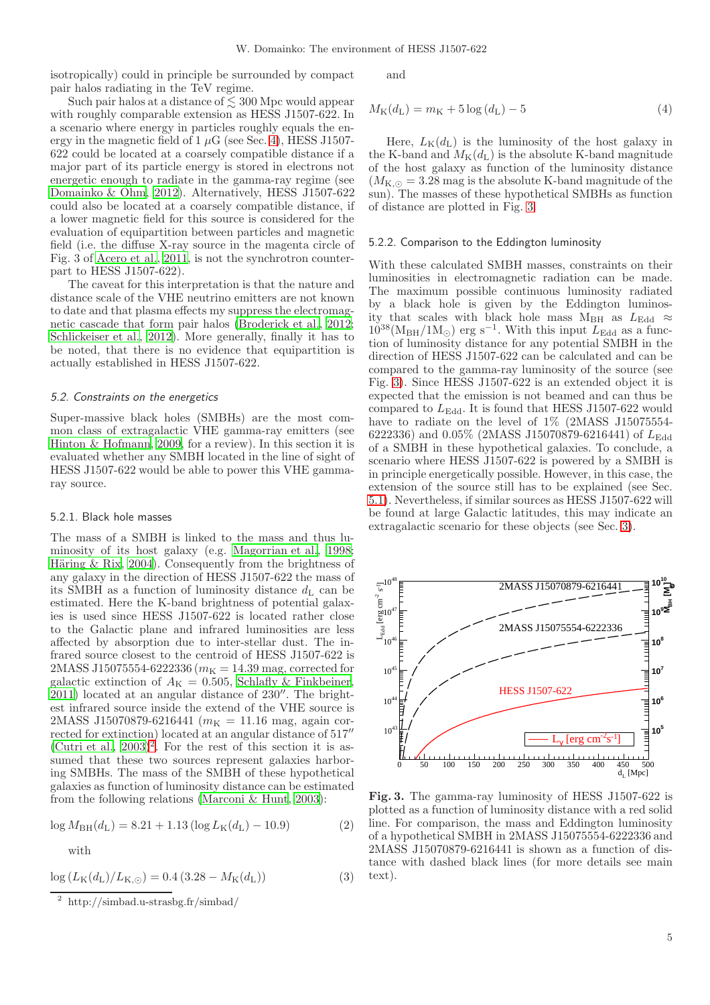isotropically) could in principle be surrounded by compact pair halos radiating in the TeV regime.

Such pair halos at a distance of  $\lesssim 300$  Mpc would appear with roughly comparable extension as HESS J1507-622. In a scenario where energy in particles roughly equals the energy in the magnetic field of  $1 \mu$ G (see Sec. [4\)](#page-2-0), HESS J1507-622 could be located at a coarsely compatible distance if a major part of its particle energy is stored in electrons not energetic enough to radiate in the gamma-ray regime (see [Domainko & Ohm](#page-5-4), [2012\)](#page-5-4). Alternatively, HESS J1507-622 could also be located at a coarsely compatible distance, if a lower magnetic field for this source is considered for the evaluation of equipartition between particles and magnetic field (i.e. the diffuse X-ray source in the magenta circle of Fig. 3 of [Acero et al., 2011](#page-5-1), is not the synchrotron counterpart to HESS J1507-622).

The caveat for this interpretation is that the nature and distance scale of the VHE neutrino emitters are not known to date and that plasma effects my suppress the electromagnetic cascade that form pair halos [\(Broderick et al., 2012](#page-5-29); [Schlickeiser et al., 2012\)](#page-5-30). More generally, finally it has to be noted, that there is no evidence that equipartition is actually established in HESS J1507-622.

#### 5.2. Constraints on the energetics

Super-massive black holes (SMBHs) are the most common class of extragalactic VHE gamma-ray emitters (see [Hinton & Hofmann](#page-5-14), [2009,](#page-5-14) for a review). In this section it is evaluated whether any SMBH located in the line of sight of HESS J1507-622 would be able to power this VHE gammaray source.

#### 5.2.1. Black hole masses

The mass of a SMBH is linked to the mass and thus luminosity of its host galaxy (e.g. [Magorrian et al.](#page-5-31), [1998](#page-5-31); Häring  $\&$  Rix, 2004). Consequently from the brightness of any galaxy in the direction of HESS J1507-622 the mass of its SMBH as a function of luminosity distance  $d_{\text{L}}$  can be estimated. Here the K-band brightness of potential galaxies is used since HESS J1507-622 is located rather close to the Galactic plane and infrared luminosities are less affected by absorption due to inter-stellar dust. The infrared source closest to the centroid of HESS J1507-622 is 2MASS J15075554-6222336 ( $m<sub>K</sub> = 14.39$  mag, corrected for galactic extinction of  $A_K = 0.505$ , [Schlafly & Finkbeiner](#page-5-33), [2011](#page-5-33)) located at an angular distance of 230′′. The brightest infrared source inside the extend of the VHE source is 2MASS J15070879-6216441 ( $m_K = 11.16$  mag, again corrected for extinction) located at an angular distance of 517′′ (Cutri et al.,  $(2003)^2$  $(2003)^2$  $(2003)^2$ ). For the rest of this section it is assumed that these two sources represent galaxies harboring SMBHs. The mass of the SMBH of these hypothetical galaxies as function of luminosity distance can be estimated from the following relations [\(Marconi & Hunt](#page-5-35), [2003\)](#page-5-35):

$$
\log M_{\rm BH}(d_{\rm L}) = 8.21 + 1.13 \left( \log L_{\rm K}(d_{\rm L}) - 10.9 \right) \tag{2}
$$

with

$$
\log\left(L_{\rm K}(d_{\rm L})/L_{\rm K,\odot}\right) = 0.4\,(3.28 - M_{\rm K}(d_{\rm L}))\tag{3}
$$

and

$$
M_{\rm K}(d_{\rm L}) = m_{\rm K} + 5\log\left(d_{\rm L}\right) - 5\tag{4}
$$

Here,  $L_K(d_L)$  is the luminosity of the host galaxy in the K-band and  $M_K(d_L)$  is the absolute K-band magnitude of the host galaxy as function of the luminosity distance  $(M_{K,\odot} = 3.28$  mag is the absolute K-band magnitude of the sun). The masses of these hypothetical SMBHs as function of distance are plotted in Fig. [3.](#page-4-1)

## 5.2.2. Comparison to the Eddington luminosity

With these calculated SMBH masses, constraints on their luminosities in electromagnetic radiation can be made. The maximum possible continuous luminosity radiated by a black hole is given by the Eddington luminosity that scales with black hole mass M<sub>BH</sub> as  $L_{\text{Edd}} \approx$  $10^{38} (M_{BH}/1M_{\odot})$  erg s<sup>-1</sup>. With this input  $L_{\rm Edd}$  as a function of luminosity distance for any potential SMBH in the direction of HESS J1507-622 can be calculated and can be compared to the gamma-ray luminosity of the source (see Fig. [3\)](#page-4-1). Since HESS J1507-622 is an extended object it is expected that the emission is not beamed and can thus be compared to  $L_{\text{Edd}}$ . It is found that HESS J1507-622 would have to radiate on the level of  $1\%$  (2MASS J15075554-6222336) and 0.05% (2MASS J15070879-6216441) of  $L_{\text{Edd}}$ of a SMBH in these hypothetical galaxies. To conclude, a scenario where HESS J1507-622 is powered by a SMBH is in principle energetically possible. However, in this case, the extension of the source still has to be explained (see Sec. [5.1\)](#page-3-2). Nevertheless, if similar sources as HESS J1507-622 will be found at large Galactic latitudes, this may indicate an extragalactic scenario for these objects (see Sec. [3\)](#page-1-1).



<span id="page-4-1"></span>Fig. 3. The gamma-ray luminosity of HESS J1507-622 is plotted as a function of luminosity distance with a red solid line. For comparison, the mass and Eddington luminosity of a hypothetical SMBH in 2MASS J15075554-6222336 and 2MASS J15070879-6216441 is shown as a function of distance with dashed black lines (for more details see main text).

<span id="page-4-0"></span><sup>2</sup> http://simbad.u-strasbg.fr/simbad/